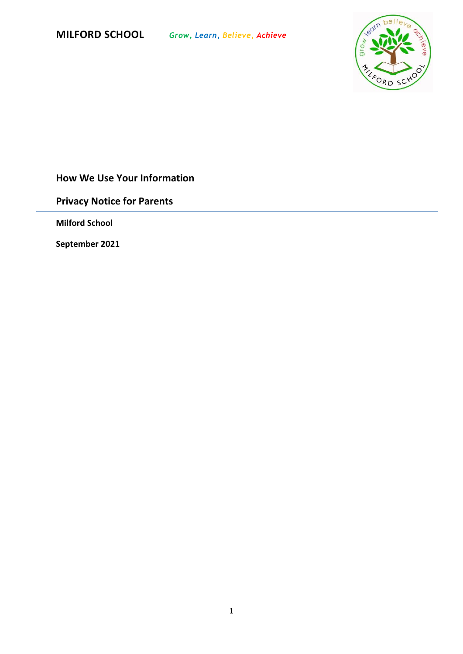

# **How We Use Your Information**

**Privacy Notice for Parents**

**Milford School**

**September 2021**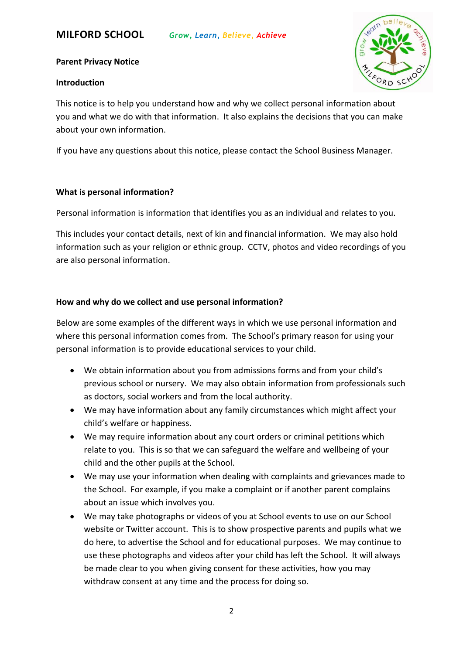

## **Parent Privacy Notice**

### **Introduction**

This notice is to help you understand how and why we collect personal information about you and what we do with that information. It also explains the decisions that you can make about your own information.

If you have any questions about this notice, please contact the School Business Manager.

## **What is personal information?**

Personal information is information that identifies you as an individual and relates to you.

This includes your contact details, next of kin and financial information. We may also hold information such as your religion or ethnic group. CCTV, photos and video recordings of you are also personal information.

# **How and why do we collect and use personal information?**

Below are some examples of the different ways in which we use personal information and where this personal information comes from. The School's primary reason for using your personal information is to provide educational services to your child.

- We obtain information about you from admissions forms and from your child's previous school or nursery. We may also obtain information from professionals such as doctors, social workers and from the local authority.
- We may have information about any family circumstances which might affect your child's welfare or happiness.
- We may require information about any court orders or criminal petitions which relate to you. This is so that we can safeguard the welfare and wellbeing of your child and the other pupils at the School.
- We may use your information when dealing with complaints and grievances made to the School. For example, if you make a complaint or if another parent complains about an issue which involves you.
- We may take photographs or videos of you at School events to use on our School website or Twitter account. This is to show prospective parents and pupils what we do here, to advertise the School and for educational purposes. We may continue to use these photographs and videos after your child has left the School. It will always be made clear to you when giving consent for these activities, how you may withdraw consent at any time and the process for doing so.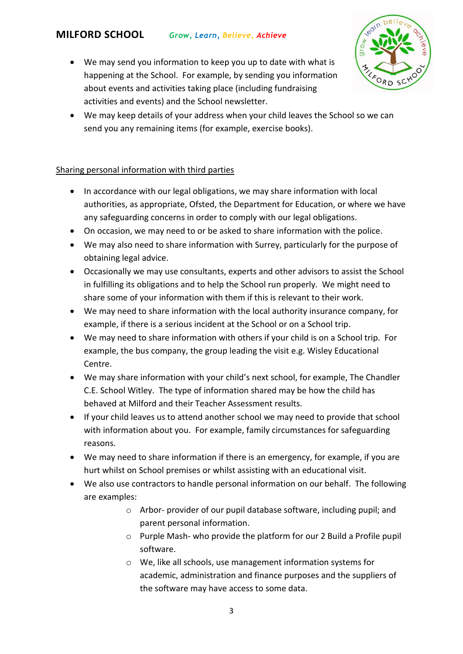- ORD SC
- We may send you information to keep you up to date with what is happening at the School. For example, by sending you information about events and activities taking place (including fundraising activities and events) and the School newsletter.
- We may keep details of your address when your child leaves the School so we can send you any remaining items (for example, exercise books).

# Sharing personal information with third parties

- In accordance with our legal obligations, we may share information with local authorities, as appropriate, Ofsted, the Department for Education, or where we have any safeguarding concerns in order to comply with our legal obligations.
- On occasion, we may need to or be asked to share information with the police.
- We may also need to share information with Surrey, particularly for the purpose of obtaining legal advice.
- Occasionally we may use consultants, experts and other advisors to assist the School in fulfilling its obligations and to help the School run properly. We might need to share some of your information with them if this is relevant to their work.
- We may need to share information with the local authority insurance company, for example, if there is a serious incident at the School or on a School trip.
- We may need to share information with others if your child is on a School trip. For example, the bus company, the group leading the visit e.g. Wisley Educational Centre.
- We may share information with your child's next school, for example, The Chandler C.E. School Witley. The type of information shared may be how the child has behaved at Milford and their Teacher Assessment results.
- If your child leaves us to attend another school we may need to provide that school with information about you. For example, family circumstances for safeguarding reasons.
- We may need to share information if there is an emergency, for example, if you are hurt whilst on School premises or whilst assisting with an educational visit.
- We also use contractors to handle personal information on our behalf. The following are examples:
	- o Arbor- provider of our pupil database software, including pupil; and parent personal information.
	- o Purple Mash- who provide the platform for our 2 Build a Profile pupil software.
	- o We, like all schools, use management information systems for academic, administration and finance purposes and the suppliers of the software may have access to some data.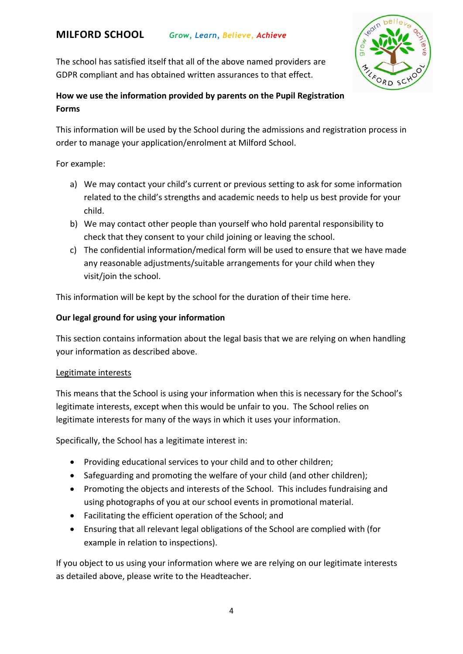The school has satisfied itself that all of the above named providers are GDPR compliant and has obtained written assurances to that effect.



# **How we use the information provided by parents on the Pupil Registration Forms**

This information will be used by the School during the admissions and registration process in order to manage your application/enrolment at Milford School.

For example:

- a) We may contact your child's current or previous setting to ask for some information related to the child's strengths and academic needs to help us best provide for your child.
- b) We may contact other people than yourself who hold parental responsibility to check that they consent to your child joining or leaving the school.
- c) The confidential information/medical form will be used to ensure that we have made any reasonable adjustments/suitable arrangements for your child when they visit/join the school.

This information will be kept by the school for the duration of their time here.

# **Our legal ground for using your information**

This section contains information about the legal basis that we are relying on when handling your information as described above.

#### Legitimate interests

This means that the School is using your information when this is necessary for the School's legitimate interests, except when this would be unfair to you. The School relies on legitimate interests for many of the ways in which it uses your information.

Specifically, the School has a legitimate interest in:

- Providing educational services to your child and to other children;
- Safeguarding and promoting the welfare of your child (and other children);
- Promoting the objects and interests of the School. This includes fundraising and using photographs of you at our school events in promotional material.
- Facilitating the efficient operation of the School; and
- Ensuring that all relevant legal obligations of the School are complied with (for example in relation to inspections).

If you object to us using your information where we are relying on our legitimate interests as detailed above, please write to the Headteacher.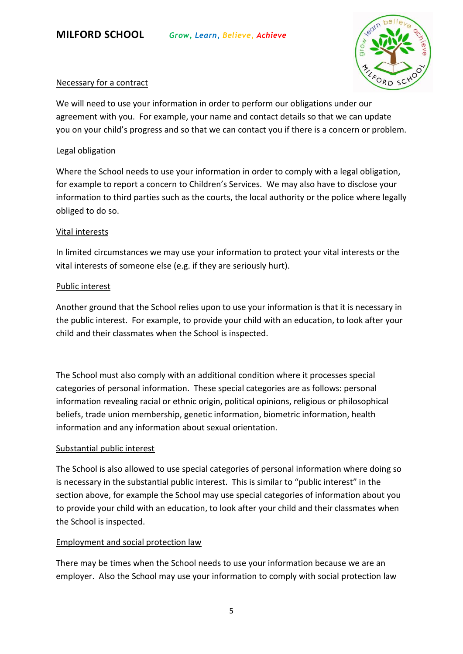

## Necessary for a contract

We will need to use your information in order to perform our obligations under our agreement with you. For example, your name and contact details so that we can update you on your child's progress and so that we can contact you if there is a concern or problem.

## Legal obligation

Where the School needs to use your information in order to comply with a legal obligation, for example to report a concern to Children's Services. We may also have to disclose your information to third parties such as the courts, the local authority or the police where legally obliged to do so.

## Vital interests

In limited circumstances we may use your information to protect your vital interests or the vital interests of someone else (e.g. if they are seriously hurt).

## Public interest

Another ground that the School relies upon to use your information is that it is necessary in the public interest. For example, to provide your child with an education, to look after your child and their classmates when the School is inspected.

The School must also comply with an additional condition where it processes special categories of personal information. These special categories are as follows: personal information revealing racial or ethnic origin, political opinions, religious or philosophical beliefs, trade union membership, genetic information, biometric information, health information and any information about sexual orientation.

# Substantial public interest

The School is also allowed to use special categories of personal information where doing so is necessary in the substantial public interest. This is similar to "public interest" in the section above, for example the School may use special categories of information about you to provide your child with an education, to look after your child and their classmates when the School is inspected.

# Employment and social protection law

There may be times when the School needs to use your information because we are an employer. Also the School may use your information to comply with social protection law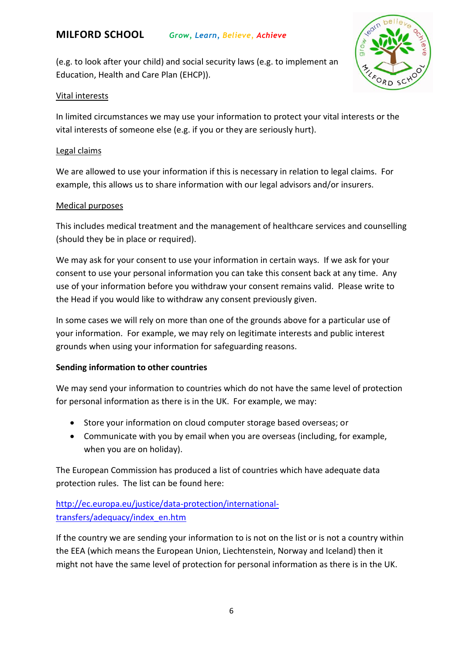(e.g. to look after your child) and social security laws (e.g. to implement an Education, Health and Care Plan (EHCP)).



#### Vital interests

In limited circumstances we may use your information to protect your vital interests or the vital interests of someone else (e.g. if you or they are seriously hurt).

#### Legal claims

We are allowed to use your information if this is necessary in relation to legal claims. For example, this allows us to share information with our legal advisors and/or insurers.

#### Medical purposes

This includes medical treatment and the management of healthcare services and counselling (should they be in place or required).

We may ask for your consent to use your information in certain ways. If we ask for your consent to use your personal information you can take this consent back at any time. Any use of your information before you withdraw your consent remains valid. Please write to the Head if you would like to withdraw any consent previously given.

In some cases we will rely on more than one of the grounds above for a particular use of your information. For example, we may rely on legitimate interests and public interest grounds when using your information for safeguarding reasons.

#### **Sending information to other countries**

We may send your information to countries which do not have the same level of protection for personal information as there is in the UK. For example, we may:

- Store your information on cloud computer storage based overseas; or
- Communicate with you by email when you are overseas (including, for example, when you are on holiday).

The European Commission has produced a list of countries which have adequate data protection rules. The list can be found here:

# [http://ec.europa.eu/justice/data-protection/international](http://ec.europa.eu/justice/data-protection/international-transfers/adequacy/index_en.htm)[transfers/adequacy/index\\_en.htm](http://ec.europa.eu/justice/data-protection/international-transfers/adequacy/index_en.htm)

If the country we are sending your information to is not on the list or is not a country within the EEA (which means the European Union, Liechtenstein, Norway and Iceland) then it might not have the same level of protection for personal information as there is in the UK.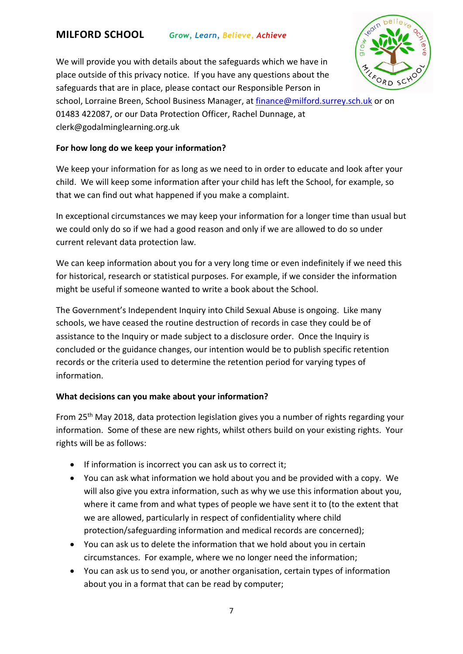

We will provide you with details about the safeguards which we have in place outside of this privacy notice. If you have any questions about the safeguards that are in place, please contact our Responsible Person in

school, Lorraine Breen, School Business Manager, at [finance@milford.surrey.sch.uk](mailto:finance@milford.surrey.sch.uk) or on 01483 422087, or our Data Protection Officer, Rachel Dunnage, at clerk@godalminglearning.org.uk

## **For how long do we keep your information?**

We keep your information for as long as we need to in order to educate and look after your child. We will keep some information after your child has left the School, for example, so that we can find out what happened if you make a complaint.

In exceptional circumstances we may keep your information for a longer time than usual but we could only do so if we had a good reason and only if we are allowed to do so under current relevant data protection law.

We can keep information about you for a very long time or even indefinitely if we need this for historical, research or statistical purposes. For example, if we consider the information might be useful if someone wanted to write a book about the School.

The Government's Independent Inquiry into Child Sexual Abuse is ongoing. Like many schools, we have ceased the routine destruction of records in case they could be of assistance to the Inquiry or made subject to a disclosure order. Once the Inquiry is concluded or the guidance changes, our intention would be to publish specific retention records or the criteria used to determine the retention period for varying types of information.

# **What decisions can you make about your information?**

From 25th May 2018, data protection legislation gives you a number of rights regarding your information. Some of these are new rights, whilst others build on your existing rights. Your rights will be as follows:

- If information is incorrect you can ask us to correct it;
- You can ask what information we hold about you and be provided with a copy. We will also give you extra information, such as why we use this information about you, where it came from and what types of people we have sent it to (to the extent that we are allowed, particularly in respect of confidentiality where child protection/safeguarding information and medical records are concerned);
- You can ask us to delete the information that we hold about you in certain circumstances. For example, where we no longer need the information;
- You can ask us to send you, or another organisation, certain types of information about you in a format that can be read by computer;